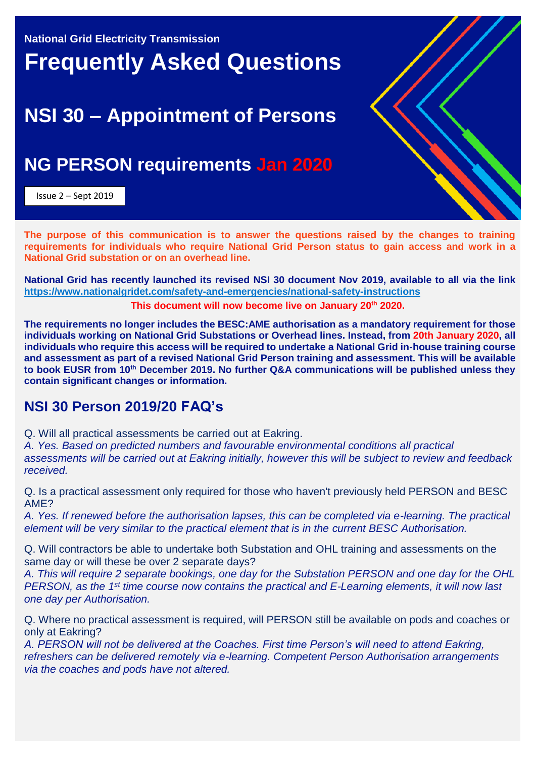**National Grid Electricity Transmission**

## **Frequently Asked Questions**

## **NSI 30 – Appointment of Persons**

## **NG PERSON requirements Jan 2020**

Issue 2 – Sept 2019



**National Grid has recently launched its revised NSI 30 document Nov 2019, available to all via the link <https://www.nationalgridet.com/safety-and-emergencies/national-safety-instructions> This document will now become live on January 20 th 2020.**

**The requirements no longer includes the BESC:AME authorisation as a mandatory requirement for those individuals working on National Grid Substations or Overhead lines. Instead, from 20th January 2020, all individuals who require this access will be required to undertake a National Grid in-house training course and assessment as part of a revised National Grid Person training and assessment. This will be available to book EUSR from 10th December 2019. No further Q&A communications will be published unless they contain significant changes or information.**

## **NSI 30 Person 2019/20 FAQ's**

Q. Will all practical assessments be carried out at Eakring.

*A. Yes. Based on predicted numbers and favourable environmental conditions all practical assessments will be carried out at Eakring initially, however this will be subject to review and feedback received.*

Q. Is a practical assessment only required for those who haven't previously held PERSON and BESC AME?

*A. Yes. If renewed before the authorisation lapses, this can be completed via e-learning. The practical element will be very similar to the practical element that is in the current BESC Authorisation.*

Q. Will contractors be able to undertake both Substation and OHL training and assessments on the same day or will these be over 2 separate days?

*A. This will require 2 separate bookings, one day for the Substation PERSON and one day for the OHL PERSON, as the 1st time course now contains the practical and E-Learning elements, it will now last one day per Authorisation.* 

Q. Where no practical assessment is required, will PERSON still be available on pods and coaches or only at Eakring?

*A. PERSON will not be delivered at the Coaches. First time Person's will need to attend Eakring, refreshers can be delivered remotely via e-learning. Competent Person Authorisation arrangements via the coaches and pods have not altered.*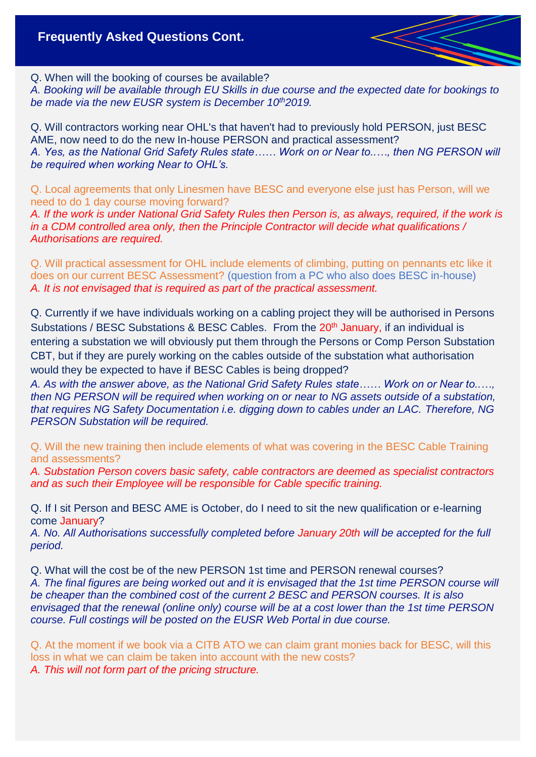Q. When will the booking of courses be available?

*A. Booking will be available through EU Skills in due course and the expected date for bookings to be made via the new EUSR system is December 10th2019.*

Q. Will contractors working near OHL's that haven't had to previously hold PERSON, just BESC AME, now need to do the new In-house PERSON and practical assessment? *A. Yes, as the National Grid Safety Rules state…… Work on or Near to..…, then NG PERSON will be required when working Near to OHL's.* 

Q. Local agreements that only Linesmen have BESC and everyone else just has Person, will we need to do 1 day course moving forward?

*A. If the work is under National Grid Safety Rules then Person is, as always, required, if the work is in a CDM controlled area only, then the Principle Contractor will decide what qualifications / Authorisations are required.*

Q. Will practical assessment for OHL include elements of climbing, putting on pennants etc like it does on our current BESC Assessment? (question from a PC who also does BESC in-house) *A. It is not envisaged that is required as part of the practical assessment.* 

Q. Currently if we have individuals working on a cabling project they will be authorised in Persons Substations / BESC Substations & BESC Cables. From the 20<sup>th</sup> January, if an individual is entering a substation we will obviously put them through the Persons or Comp Person Substation CBT, but if they are purely working on the cables outside of the substation what authorisation would they be expected to have if BESC Cables is being dropped?

*A. As with the answer above, as the National Grid Safety Rules state…… Work on or Near to..…, then NG PERSON will be required when working on or near to NG assets outside of a substation, that requires NG Safety Documentation i.e. digging down to cables under an LAC. Therefore, NG PERSON Substation will be required.*

Q. Will the new training then include elements of what was covering in the BESC Cable Training and assessments?

*A. Substation Person covers basic safety, cable contractors are deemed as specialist contractors and as such their Employee will be responsible for Cable specific training.*

Q. If I sit Person and BESC AME is October, do I need to sit the new qualification or e-learning come January?

*A. No. All Authorisations successfully completed before January 20th will be accepted for the full period.*

Q. What will the cost be of the new PERSON 1st time and PERSON renewal courses? *A. The final figures are being worked out and it is envisaged that the 1st time PERSON course will be cheaper than the combined cost of the current 2 BESC and PERSON courses. It is also envisaged that the renewal (online only) course will be at a cost lower than the 1st time PERSON course. Full costings will be posted on the EUSR Web Portal in due course.*

Q. At the moment if we book via a CITB ATO we can claim grant monies back for BESC, will this loss in what we can claim be taken into account with the new costs? *A. This will not form part of the pricing structure.*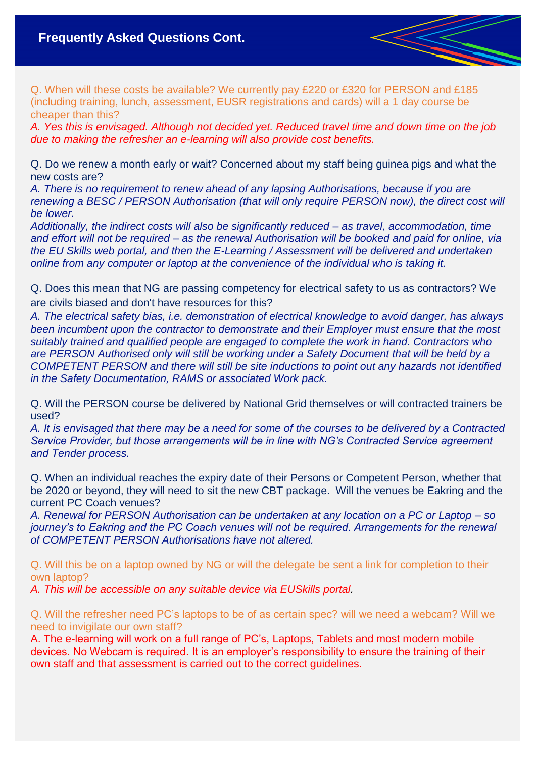Q. When will these costs be available? We currently pay £220 or £320 for PERSON and £185 (including training, lunch, assessment, EUSR registrations and cards) will a 1 day course be cheaper than this?

*A. Yes this is envisaged. Although not decided yet. Reduced travel time and down time on the job due to making the refresher an e-learning will also provide cost benefits.*

Q. Do we renew a month early or wait? Concerned about my staff being guinea pigs and what the new costs are?

*A. There is no requirement to renew ahead of any lapsing Authorisations, because if you are renewing a BESC / PERSON Authorisation (that will only require PERSON now), the direct cost will be lower.*

*Additionally, the indirect costs will also be significantly reduced – as travel, accommodation, time and effort will not be required – as the renewal Authorisation will be booked and paid for online, via the EU Skills web portal, and then the E-Learning / Assessment will be delivered and undertaken online from any computer or laptop at the convenience of the individual who is taking it.*

Q. Does this mean that NG are passing competency for electrical safety to us as contractors? We are civils biased and don't have resources for this?

*A. The electrical safety bias, i.e. demonstration of electrical knowledge to avoid danger, has always been incumbent upon the contractor to demonstrate and their Employer must ensure that the most suitably trained and qualified people are engaged to complete the work in hand. Contractors who are PERSON Authorised only will still be working under a Safety Document that will be held by a COMPETENT PERSON and there will still be site inductions to point out any hazards not identified in the Safety Documentation, RAMS or associated Work pack.*

Q. Will the PERSON course be delivered by National Grid themselves or will contracted trainers be used?

*A. It is envisaged that there may be a need for some of the courses to be delivered by a Contracted Service Provider, but those arrangements will be in line with NG's Contracted Service agreement and Tender process.*

Q. When an individual reaches the expiry date of their Persons or Competent Person, whether that be 2020 or beyond, they will need to sit the new CBT package. Will the venues be Eakring and the current PC Coach venues?

*A. Renewal for PERSON Authorisation can be undertaken at any location on a PC or Laptop – so journey's to Eakring and the PC Coach venues will not be required. Arrangements for the renewal of COMPETENT PERSON Authorisations have not altered.*

Q. Will this be on a laptop owned by NG or will the delegate be sent a link for completion to their own laptop?

*A. This will be accessible on any suitable device via EUSkills portal.*

Q. Will the refresher need PC's laptops to be of as certain spec? will we need a webcam? Will we need to invigilate our own staff?

A. The e-learning will work on a full range of PC's, Laptops, Tablets and most modern mobile devices. No Webcam is required. It is an employer's responsibility to ensure the training of their own staff and that assessment is carried out to the correct guidelines.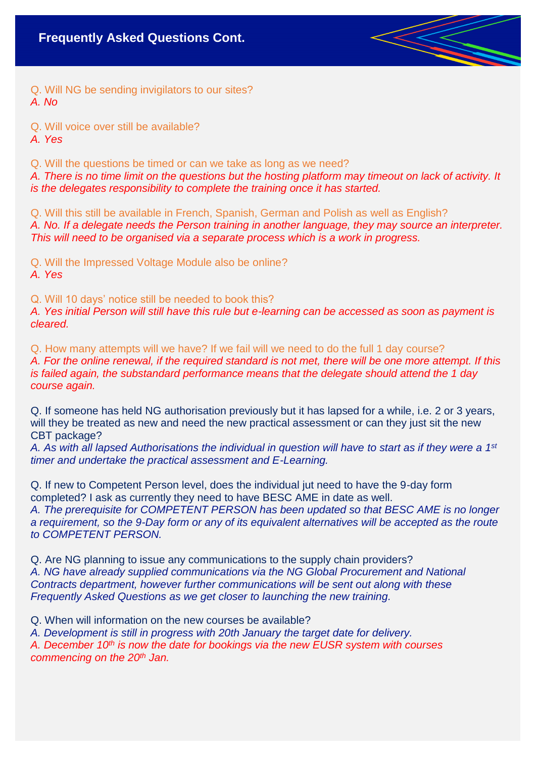Q. Will NG be sending invigilators to our sites? *A. No*

Q. Will voice over still be available?

*A. Yes*

Q. Will the questions be timed or can we take as long as we need?

*A. There is no time limit on the questions but the hosting platform may timeout on lack of activity. It is the delegates responsibility to complete the training once it has started.* 

Q. Will this still be available in French, Spanish, German and Polish as well as English? *A. No. If a delegate needs the Person training in another language, they may source an interpreter. This will need to be organised via a separate process which is a work in progress.* 

Q. Will the Impressed Voltage Module also be online? *A. Yes*

Q. Will 10 days' notice still be needed to book this?

*A. Yes initial Person will still have this rule but e-learning can be accessed as soon as payment is cleared.* 

Q. How many attempts will we have? If we fail will we need to do the full 1 day course? *A. For the online renewal, if the required standard is not met, there will be one more attempt. If this is failed again, the substandard performance means that the delegate should attend the 1 day course again.*

Q. If someone has held NG authorisation previously but it has lapsed for a while, i.e. 2 or 3 years, will they be treated as new and need the new practical assessment or can they just sit the new CBT package?

*A. As with all lapsed Authorisations the individual in question will have to start as if they were a 1st timer and undertake the practical assessment and E-Learning.*

Q. If new to Competent Person level, does the individual jut need to have the 9-day form completed? I ask as currently they need to have BESC AME in date as well. *A. The prerequisite for COMPETENT PERSON has been updated so that BESC AME is no longer a requirement, so the 9-Day form or any of its equivalent alternatives will be accepted as the route to COMPETENT PERSON.*

Q. Are NG planning to issue any communications to the supply chain providers? *A. NG have already supplied communications via the NG Global Procurement and National Contracts department, however further communications will be sent out along with these Frequently Asked Questions as we get closer to launching the new training.*

Q. When will information on the new courses be available?

*A. Development is still in progress with 20th January the target date for delivery.*

*A. December 10th is now the date for bookings via the new EUSR system with courses commencing on the 20th Jan.*